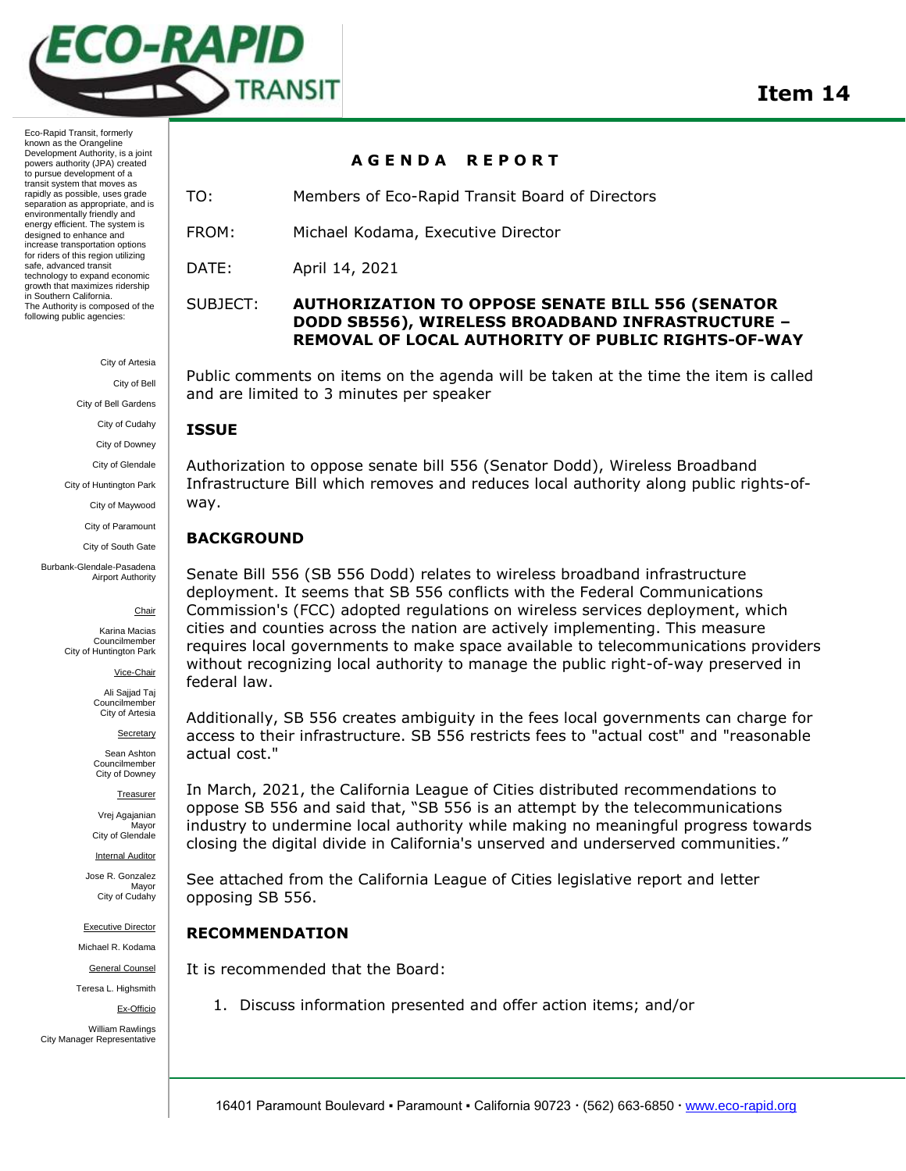

City of Artesia

City of Bell

City of Bell Gardens

City of Cudahy

City of Downey

City of Glendale

City of Huntington Park City of Maywood

City of Paramount

City of South Gate

Burbank-Glendale-Pasadena Airport Authority

Chair

Karina Macias Councilmember City of Huntington Park

Vice-Chair

Ali Sajjad Taj Councilmember City of Artesia

Secretary

Sean Ashton Councilmember City of Downey

Treasurer

Vrej Agajanian **Mavor** City of Glendale

Internal Auditor

Jose R. Gonzalez Mayor City of Cudahy

Executive Director

Michael R. Kodama

General Counsel

Teresa L. Highsmith

Ex-Officio

William Rawlings City Manager Representative

## **A G E N D A R E P O R T**

TO: Members of Eco-Rapid Transit Board of Directors

FROM: Michael Kodama, Executive Director

DATE: April 14, 2021

# SUBJECT: **AUTHORIZATION TO OPPOSE SENATE BILL 556 (SENATOR DODD SB556), WIRELESS BROADBAND INFRASTRUCTURE – REMOVAL OF LOCAL AUTHORITY OF PUBLIC RIGHTS-OF-WAY**

Public comments on items on the agenda will be taken at the time the item is called and are limited to 3 minutes per speaker

# **ISSUE**

Authorization to oppose senate bill 556 (Senator Dodd), Wireless Broadband Infrastructure Bill which removes and reduces local authority along public rights-ofway.

# **BACKGROUND**

Senate Bill 556 (SB 556 Dodd) relates to wireless broadband infrastructure deployment. It seems that SB 556 conflicts with the Federal Communications Commission's (FCC) adopted regulations on wireless services deployment, which cities and counties across the nation are actively implementing. This measure requires local governments to make space available to telecommunications providers without recognizing local authority to manage the public right-of-way preserved in federal law.

Additionally, SB 556 creates ambiguity in the fees local governments can charge for access to their infrastructure. SB 556 restricts fees to "actual cost" and "reasonable actual cost."

In March, 2021, the California League of Cities distributed recommendations to oppose SB 556 and said that, "SB 556 is an attempt by the telecommunications industry to undermine local authority while making no meaningful progress towards closing the digital divide in California's unserved and underserved communities."

See attached from the California League of Cities legislative report and letter opposing SB 556.

# **RECOMMENDATION**

It is recommended that the Board:

1. Discuss information presented and offer action items; and/or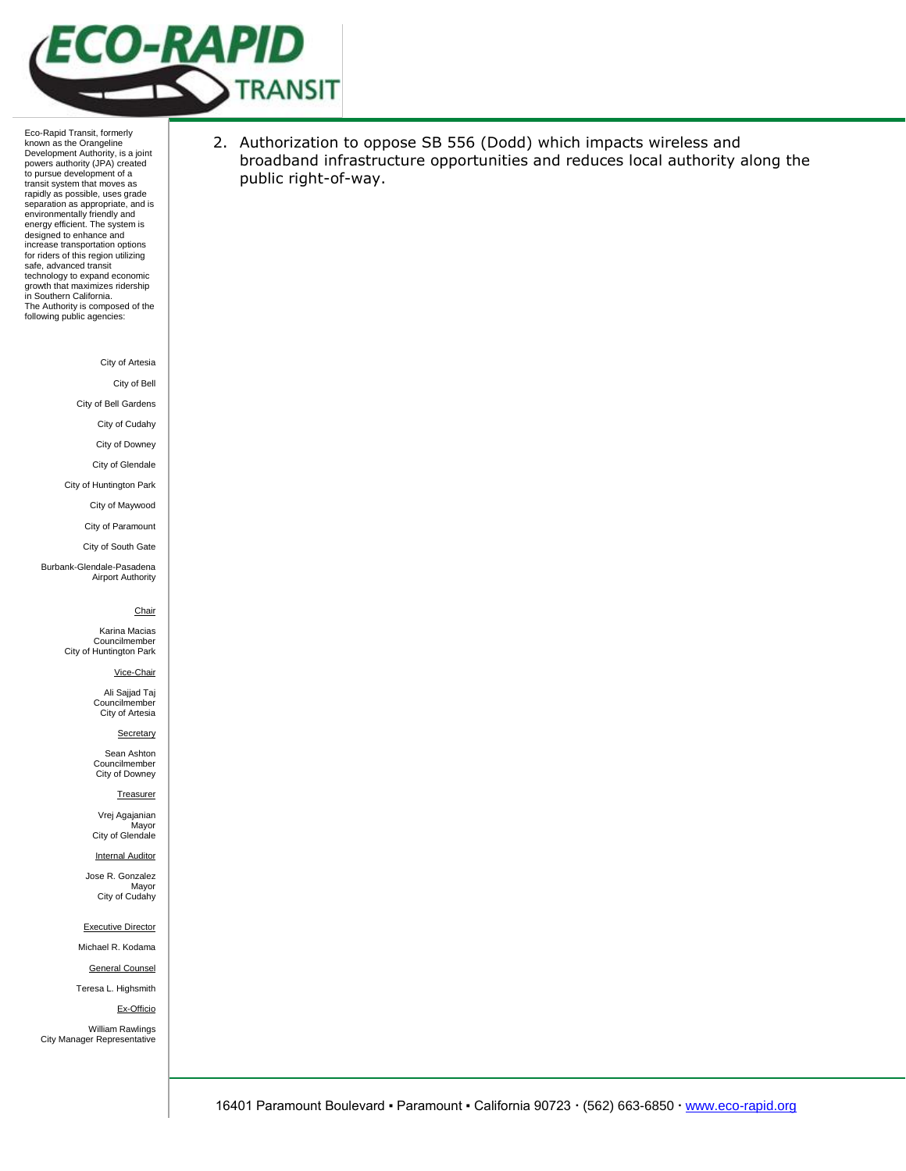

City of Artesia

City of Bell

City of Bell Gardens

City of Cudahy

City of Downey

City of Glendale

City of Huntington Park

City of Maywood City of Paramount

City of South Gate

Burbank-Glendale-Pasadena Airport Authority

### Chair

Karina Macias Councilmember City of Huntington Park

Vice-Chair

Ali Sajjad Taj Councilmember City of Artesia

**Secretary** 

Sean Ashton Councilmember City of Downey

#### **Treasurer**

Vrej Agajanian Mayor City of Glendale

Internal Auditor

Jose R. Gonzalez Mayor City of Cudahy

Executive Director

Michael R. Kodama

General Counsel

Teresa L. Highsmith

Ex-Officio

William Rawlings City Manager Representative 2. Authorization to oppose SB 556 (Dodd) which impacts wireless and broadband infrastructure opportunities and reduces local authority along the public right-of-way.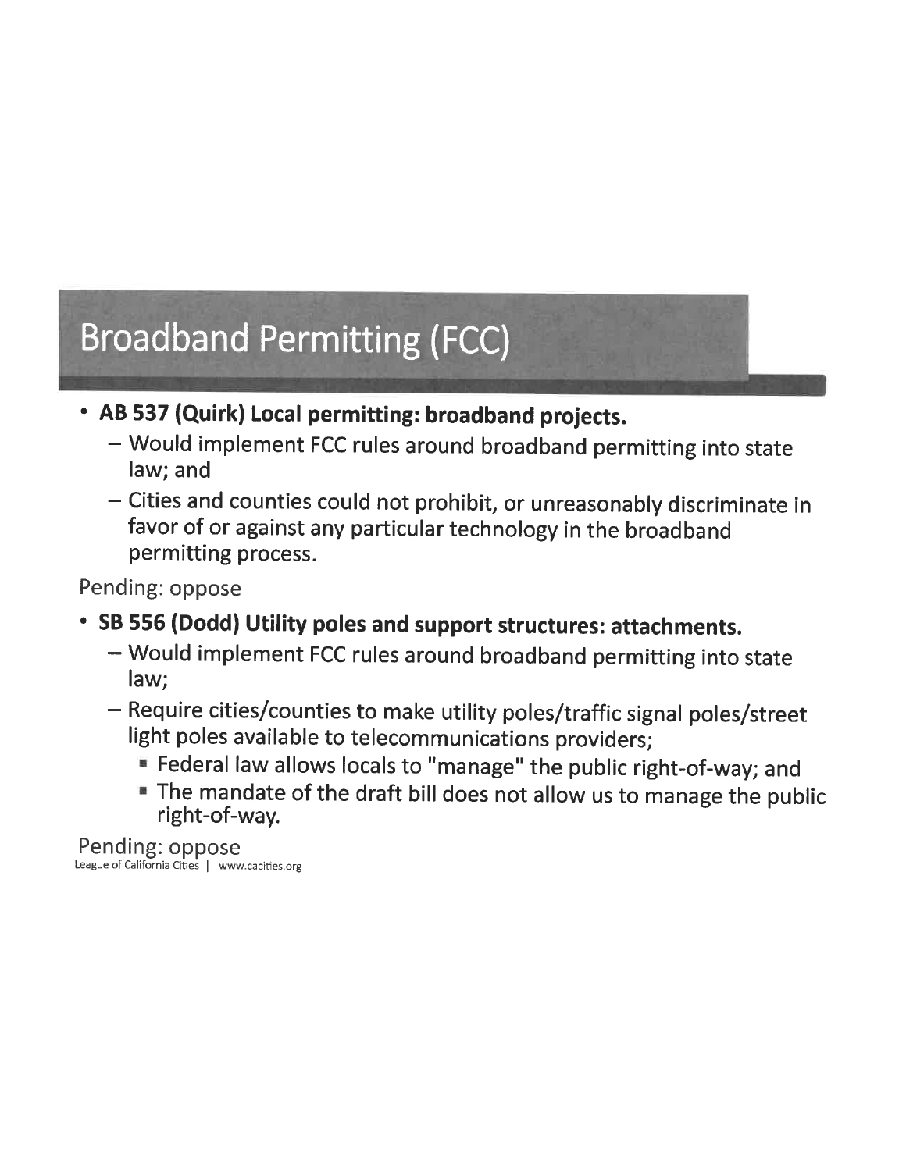# **Broadband Permitting (FCC)**

- AB 537 (Quirk) Local permitting: broadband projects.
	- Would implement FCC rules around broadband permitting into state law; and
	- Cities and counties could not prohibit, or unreasonably discriminate in favor of or against any particular technology in the broadband permitting process.

Pending: oppose

- SB 556 (Dodd) Utility poles and support structures: attachments.
	- Would implement FCC rules around broadband permitting into state law;
	- Require cities/counties to make utility poles/traffic signal poles/street light poles available to telecommunications providers;
		- Federal law allows locals to "manage" the public right-of-way; and
		- The mandate of the draft bill does not allow us to manage the public right-of-way.

Pending: oppose<br>League of California Cities | www.cacities.org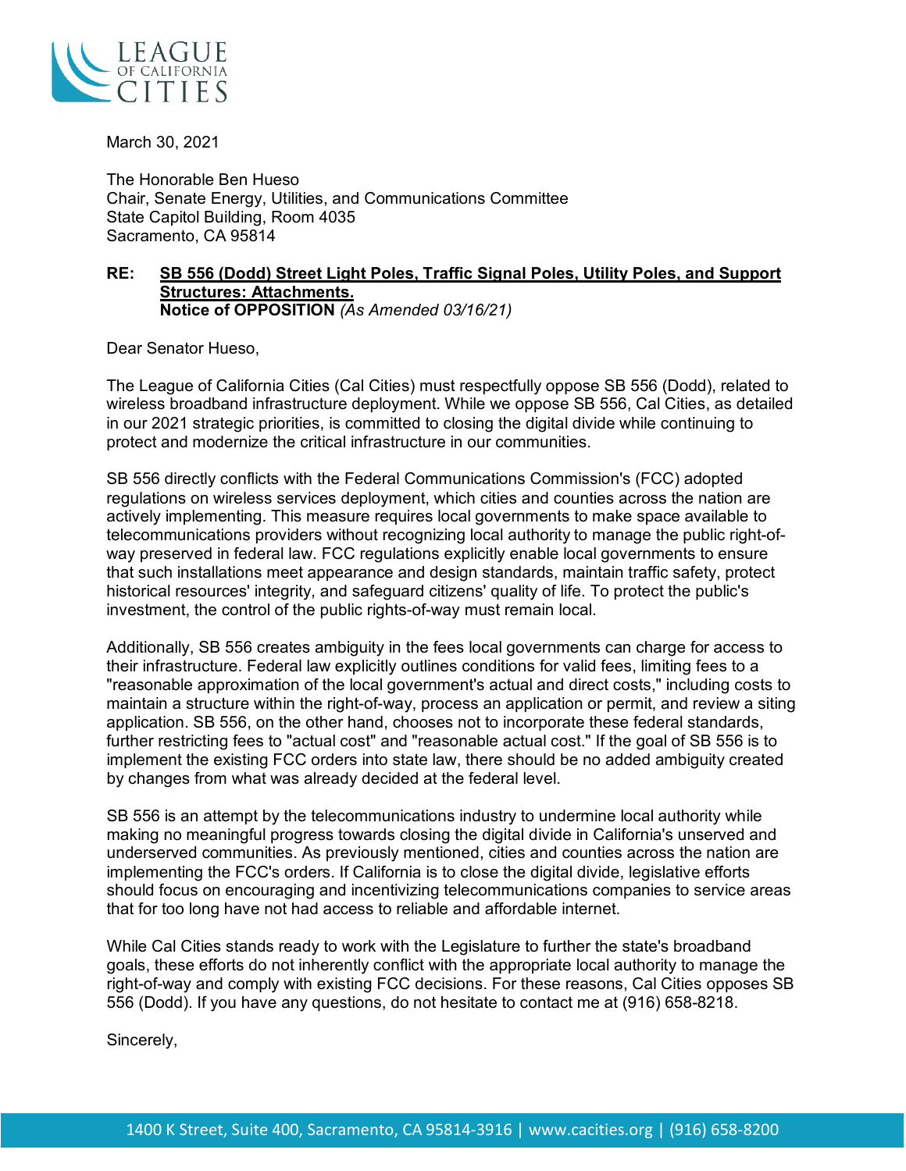

March 30, 2021

The Honorable Ben Hueso Chair, Senate Energy, Utilities, and Communications Committee State Capitol Building, Room 4035 Sacramento, CA 95814

# **RE: SB 556 (Dodd) Street Light Poles, Traffic Signal Poles, Utility Poles, and Support Structures: Attachments. Notice of OPPOSITION** *(As Amended 03/16/21)*

Dear Senator Hueso,

The League of California Cities (Cal Cities) must respectfully oppose SB 556 (Dodd), related to wireless broadband infrastructure deployment. While we oppose SB 556, Cal Cities, as detailed in our 2021 strategic priorities, is committed to closing the digital divide while continuing to protect and modernize the critical infrastructure in our communities.

SB 556 directly conflicts with the Federal Communications Commission's (FCC) adopted regulations on wireless services deployment, which cities and counties across the nation are actively implementing. This measure requires local governments to make space available to telecommunications providers without recognizing local authority to manage the public right-ofway preserved in federal law. FCC regulations explicitly enable local governments to ensure that such installations meet appearance and design standards, maintain traffic safety, protect historical resources' integrity, and safeguard citizens' quality of life. To protect the public's investment, the control of the public rights-of-way must remain local.

Additionally, SB 556 creates ambiguity in the fees local governments can charge for access to their infrastructure. Federal law explicitly outlines conditions for valid fees, limiting fees to a "reasonable approximation of the local government's actual and direct costs," including costs to maintain a structure within the right-of-way, process an application or permit, and review a siting application. SB 556, on the other hand, chooses not to incorporate these federal standards, further restricting fees to "actual cost" and "reasonable actual cost." If the goal of SB 556 is to implement the existing FCC orders into state law, there should be no added ambiguity created by changes from what was already decided at the federal level.

SB 556 is an attempt by the telecommunications industry to undermine local authority while making no meaningful progress towards closing the digital divide in California's unserved and underserved communities. As previously mentioned, cities and counties across the nation are implementing the FCC's orders. If California is to close the digital divide, legislative efforts should focus on encouraging and incentivizing telecommunications companies to service areas that for too long have not had access to reliable and affordable internet.

While Cal Cities stands ready to work with the Legislature to further the state's broadband goals, these efforts do not inherently conflict with the appropriate local authority to manage the right-of-way and comply with existing FCC decisions. For these reasons, Cal Cities opposes SB 556 (Dodd). If you have any questions, do not hesitate to contact me at (916) 658-8218.

Sincerely,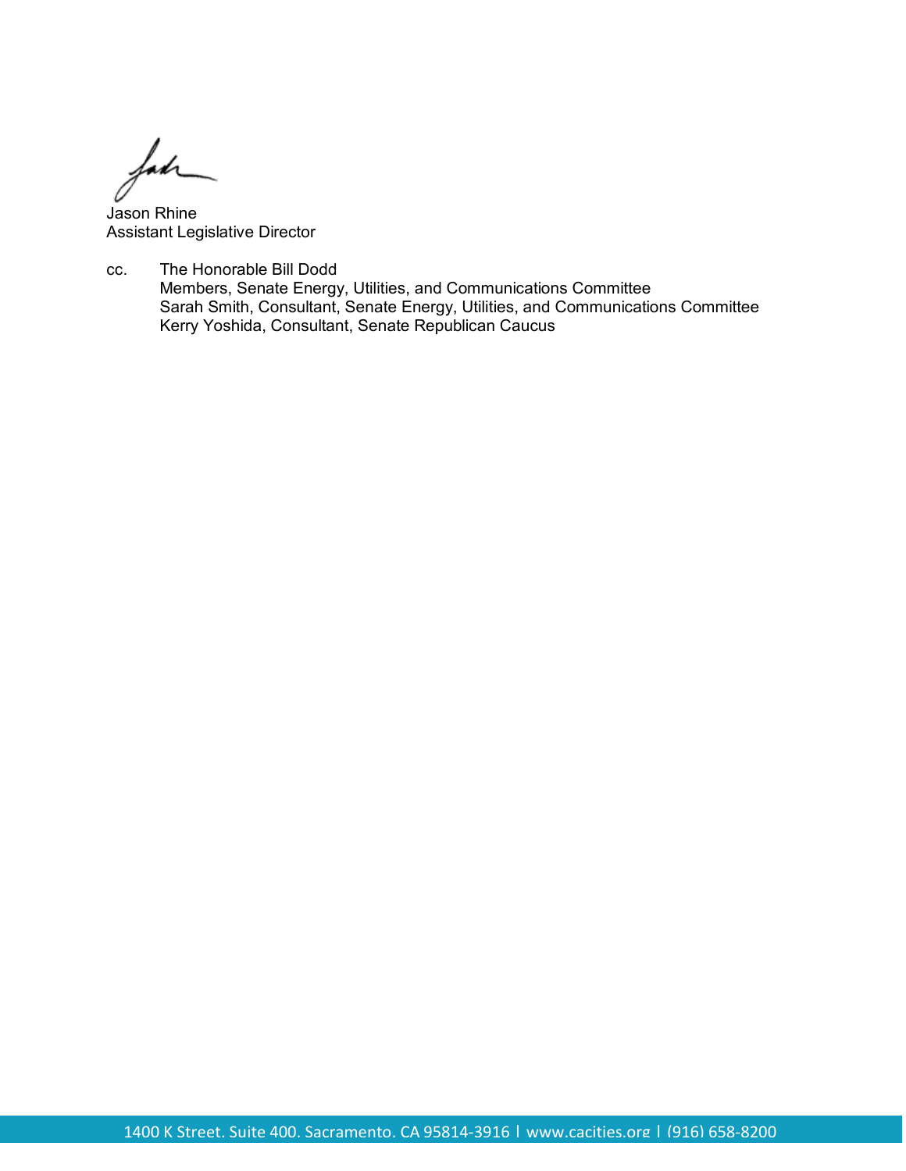fahr

Jason Rhine Assistant Legislative Director

cc. The Honorable Bill Dodd Members, Senate Energy, Utilities, and Communications Committee Sarah Smith, Consultant, Senate Energy, Utilities, and Communications Committee Kerry Yoshida, Consultant, Senate Republican Caucus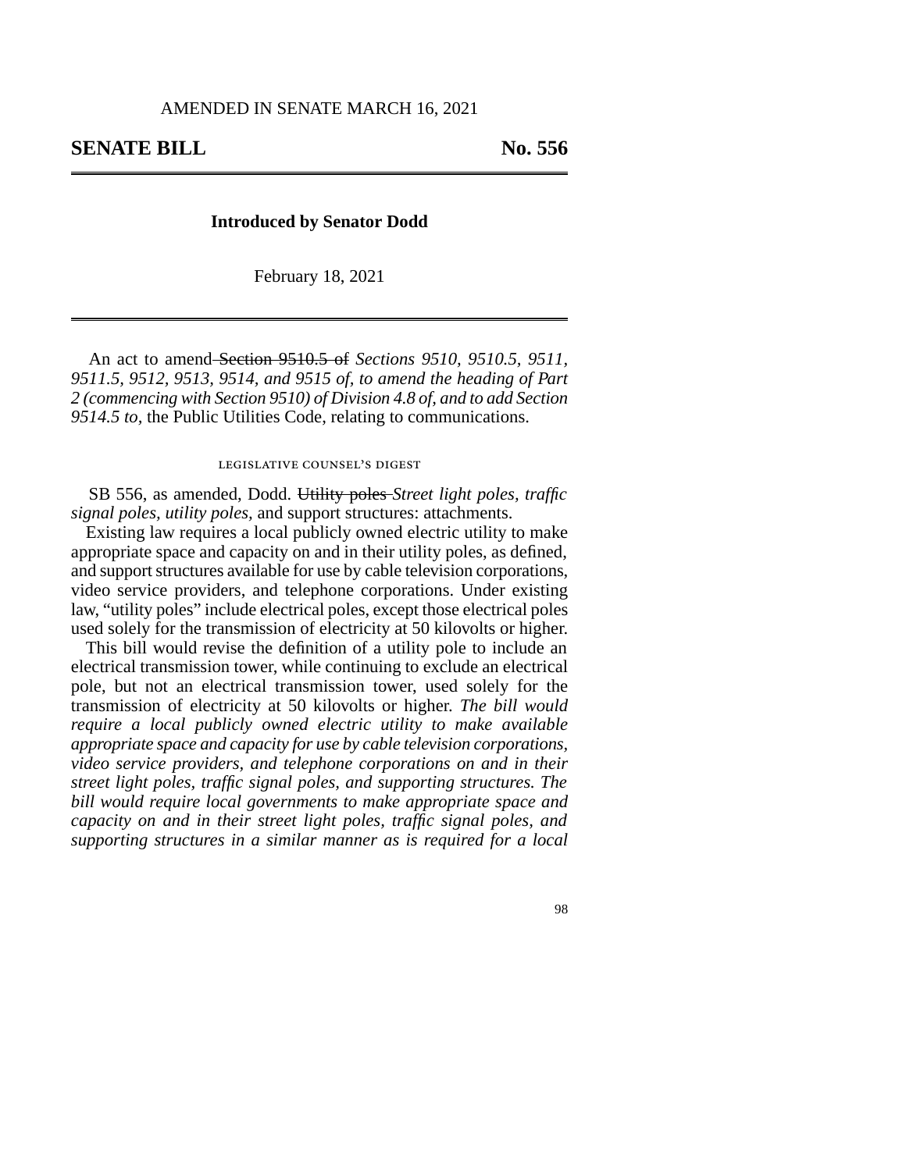### **Introduced by Senator Dodd**

February 18, 2021

An act to amend Section 9510.5 of *Sections 9510, 9510.5, 9511, 9511.5, 9512, 9513, 9514, and 9515 of, to amend the heading of Part 2 (commencing with Section 9510) of Division 4.8 of, and to add Section 9514.5 to,* the Public Utilities Code, relating to communications.

### legislative counsel's digest

SB 556, as amended, Dodd. Utility poles *Street light poles, traffic signal poles, utility poles,* and support structures: attachments.

Existing law requires a local publicly owned electric utility to make appropriate space and capacity on and in their utility poles, as defined, and support structures available for use by cable television corporations, video service providers, and telephone corporations. Under existing law, "utility poles" include electrical poles, except those electrical poles used solely for the transmission of electricity at 50 kilovolts or higher.

This bill would revise the definition of a utility pole to include an electrical transmission tower, while continuing to exclude an electrical pole, but not an electrical transmission tower, used solely for the transmission of electricity at 50 kilovolts or higher. *The bill would require a local publicly owned electric utility to make available appropriate space and capacity for use by cable television corporations, video service providers, and telephone corporations on and in their street light poles, traffic signal poles, and supporting structures. The bill would require local governments to make appropriate space and capacity on and in their street light poles, traffic signal poles, and supporting structures in a similar manner as is required for a local*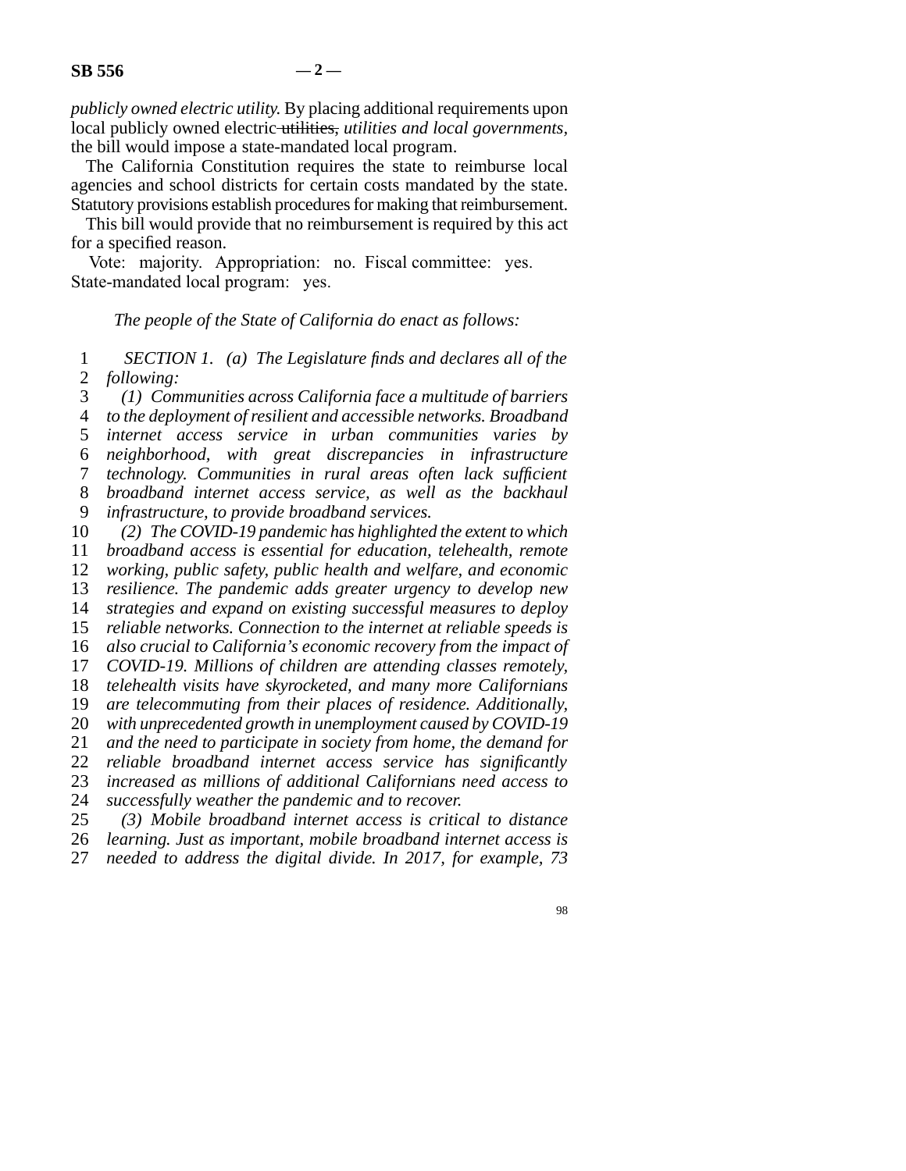*publicly owned electric utility.* By placing additional requirements upon local publicly owned electric utilities, *utilities and local governments,* the bill would impose a state-mandated local program.

The California Constitution requires the state to reimburse local agencies and school districts for certain costs mandated by the state. Statutory provisions establish procedures for making that reimbursement.

This bill would provide that no reimbursement is required by this act for a specified reason.

Vote: majority. Appropriation: no. Fiscal committee: yes. State-mandated local program: yes.

## *The people of the State of California do enact as follows:*

 line 1 *SECTION 1. (a) The Legislature finds and declares all of the*  2 *following:* 

 line 3 *(1) Communities across California face a multitude of barriers*  line 4 *to the deployment of resilient and accessible networks. Broadband*  line 5 *internet access service in urban communities varies by*  line 6 *neighborhood, with great discrepancies in infrastructure*  line 7 *technology. Communities in rural areas often lack sufficient*  line 8 *broadband internet access service, as well as the backhaul*  9 *infrastructure, to provide broadband services.* 

10 (2) The COVID-19 pandemic has highlighted the extent to which

11 *broadband access is essential for education, telehealth, remote* 

12 *working, public safety, public health and welfare, and economic* 

13 *resilience. The pandemic adds greater urgency to develop new* 

14 *strategies and expand on existing successful measures to deploy* 

15 *reliable networks. Connection to the internet at reliable speeds is* 16 *also crucial to California's economic recovery from the impact of* 

17 *COVID-19. Millions of children are attending classes remotely,* 

18 *telehealth visits have skyrocketed, and many more Californians* 

19 *are telecommuting from their places of residence. Additionally,* 

20 *with unprecedented growth in unemployment caused by COVID-19* 

21 *and the need to participate in society from home, the demand for* 

22 *reliable broadband internet access service has significantly* 

23 *increased as millions of additional Californians need access to* 

24 *successfully weather the pandemic and to recover.*<br>25 (3) Mobile broadband internet access is critic

(3) Mobile broadband internet access is critical to distance

26 *learning. Just as important, mobile broadband internet access is* 

27 needed to address the digital divide. In 2017, for example, 73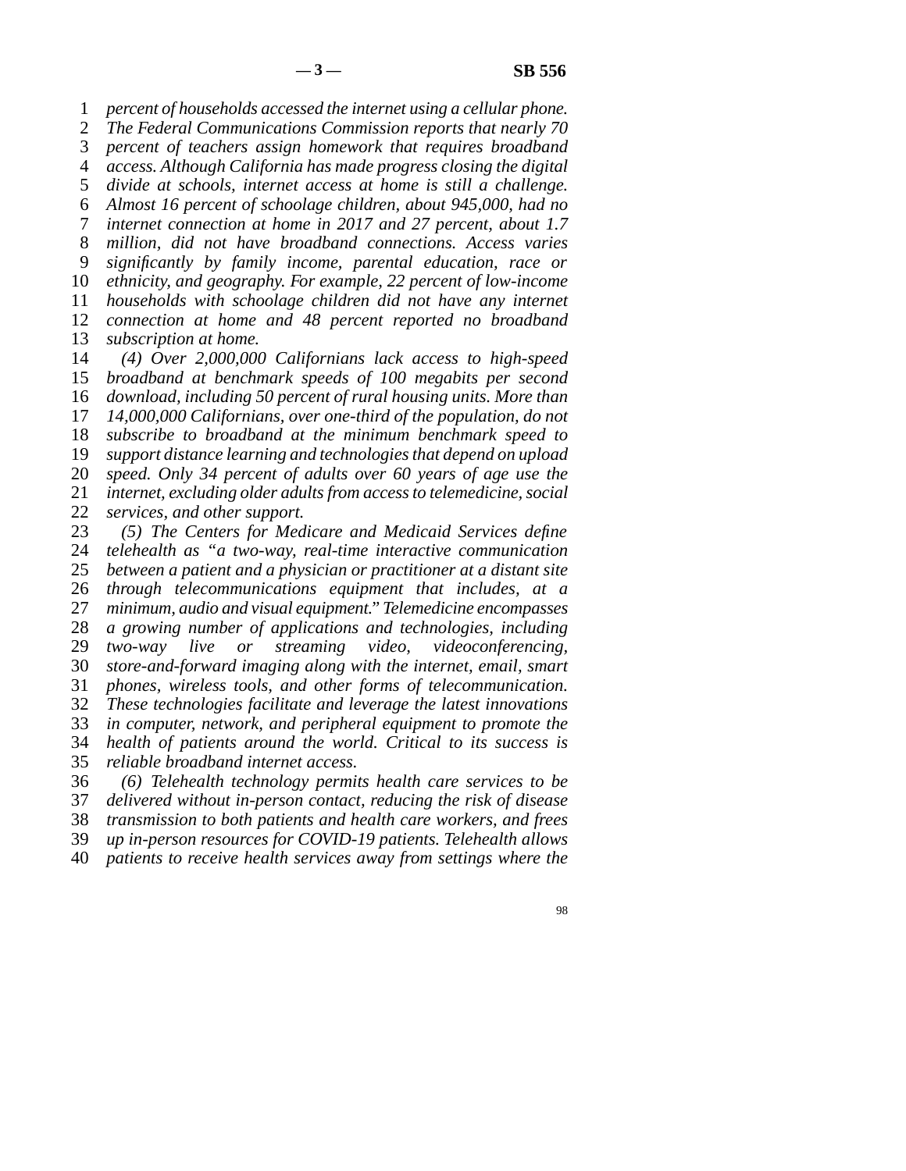line 1 *percent of households accessed the internet using a cellular phone.* 

2 *The Federal Communications Commission reports that nearly 70* line 3 *percent of teachers assign homework that requires broadband* 

line 4 *access. Although California has made progress closing the digital* 

5 *divide at schools, internet access at home is still a challenge.* 

line 6 *Almost 16 percent of schoolage children, about 945,000, had no* 

line 7 *internet connection at home in 2017 and 27 percent, about 1.7* 

8 *million, did not have broadband connections. Access varies* 

line 9 *significantly by family income, parental education, race or* 

10 *ethnicity, and geography. For example, 22 percent of low-income* 11 *households with schoolage children did not have any internet* 

12 *connection at home and 48 percent reported no broadband* 

13 *subscription at home.* 

 line 14 *(4) Over 2,000,000 Californians lack access to high-speed broadband at benchmark speeds of 100 megabits per second download, including 50 percent of rural housing units. More than 14,000,000 Californians, over one-third of the population, do not subscribe to broadband at the minimum benchmark speed to support distance learning and technologies that depend on upload speed. Only 34 percent of adults over 60 years of age use the internet, excluding older adults from access to telemedicine, social services, and other support.* 

23 (5) The Centers for Medicare and Medicaid Services define 24 *telehealth as "a two-way, real-time interactive communication*<br>25 *between a patient and a physician or practitioner at a distant site* between a patient and a physician or practitioner at a distant site 26 *through telecommunications equipment that includes, at a* 27 *minimum, audio and visual equipment." Telemedicine encompasses*  line 28 *a growing number of applications and technologies, including*  line 29 *two-way live or streaming video, videoconferencing,*  line 30 *store-and-forward imaging along with the internet, email, smart*  31 *phones, wireless tools, and other forms of telecommunication.*  line 32 *These technologies facilitate and leverage the latest innovations*  33 *in computer, network, and peripheral equipment to promote the*  line 34 *health of patients around the world. Critical to its success is*  line 35 *reliable broadband internet access.* 

 line 36 *(6) Telehealth technology permits health care services to be*  37 *delivered without in-person contact, reducing the risk of disease*  line 38 *transmission to both patients and health care workers, and frees*  line 39 *up in-person resources for COVID-19 patients. Telehealth allows* 

line 40 *patients to receive health services away from settings where the*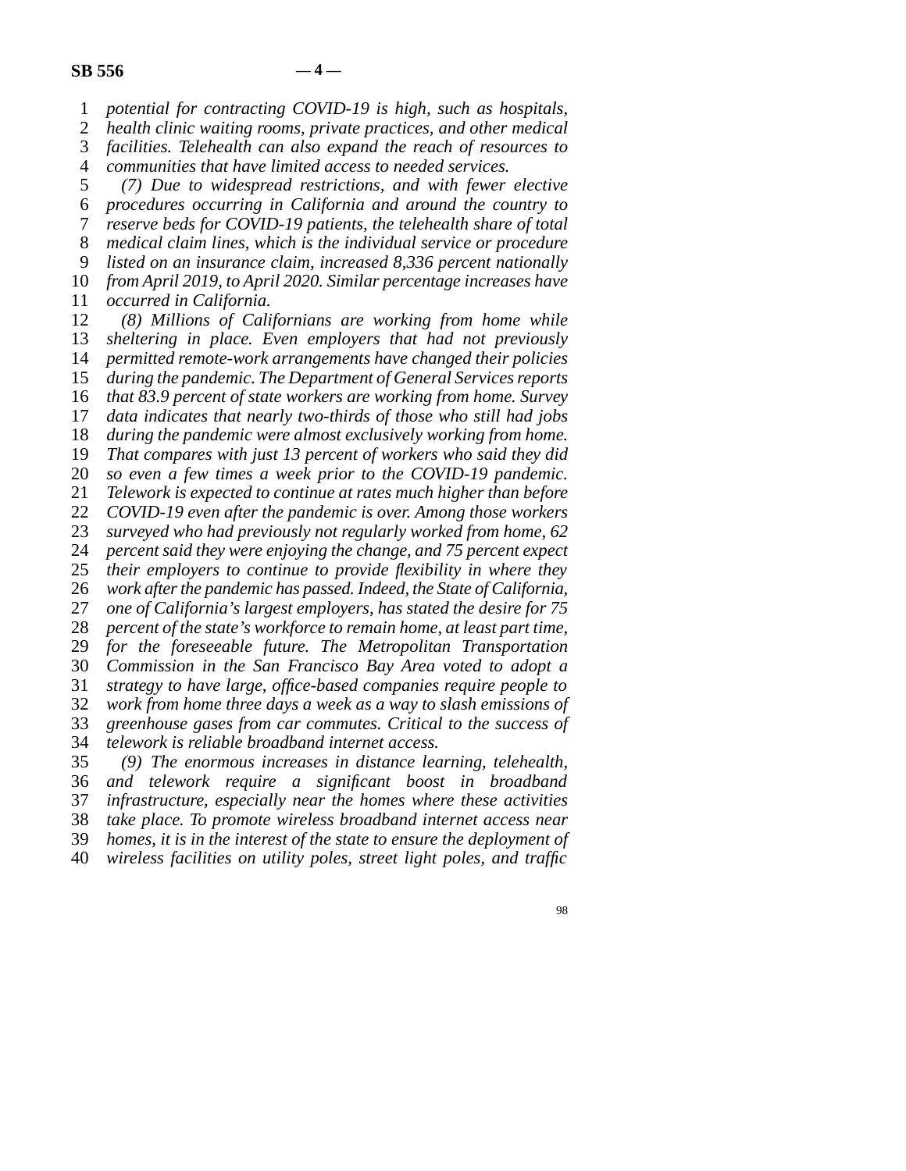1 *potential for contracting COVID-19 is high, such as hospitals,* 

2 *health clinic waiting rooms, private practices, and other medical* 3 *facilities. Telehealth can also expand the reach of resources to* facilities. Telehealth can also expand the reach of resources to

4 *communities that have limited access to needed services.* 

 line 5 *(7) Due to widespread restrictions, and with fewer elective*  line 6 *procedures occurring in California and around the country to*  line 7 *reserve beds for COVID-19 patients, the telehealth share of total*  line 8 *medical claim lines, which is the individual service or procedure*  line 9 *listed on an insurance claim, increased 8,336 percent nationally*  10 *from April 2019, to April 2020. Similar percentage increases have* 

11 *occurred in California.* 12 (8) Millions of Californians are working from home while 13 *sheltering in place. Even employers that had not previously* 

14 *permitted remote-work arrangements have changed their policies* 15 *during the pandemic. The Department of General Services reports* 16 *that 83.9 percent of state workers are working from home. Survey* 

17 *data indicates that nearly two-thirds of those who still had jobs* 

18 *during the pandemic were almost exclusively working from home.* 

19 That compares with just 13 percent of workers who said they did

20 *so even a few times a week prior to the COVID-19 pandemic.* 

21 *Telework is expected to continue at rates much higher than before* 

22 *COVID-19 even after the pandemic is over. Among those workers* 23 *surveyed who had previously not regularly worked from home.* 62

surveyed who had previously not regularly worked from home, 62

24 *percent said they were enjoying the change, and 75 percent expect*  $25$  *their employers to continue to provide flexibility in where they* their employers to continue to provide flexibility in where they

26 *work after the pandemic has passed. Indeed, the State of California,* 

27 one of California's largest employers, has stated the desire for 75

28 *percent of the state's workforce to remain home, at least part time,* 

29 *for the foreseeable future. The Metropolitan Transportation* 

line 30 *Commission in the San Francisco Bay Area voted to adopt a* 

line 31 *strategy to have large, office-based companies require people to* 

32 *work from home three days a week as a way to slash emissions of* 33 *greenhouse gases from car commutes. Critical to the success of* 

greenhouse gases from car commutes. Critical to the success of

34 *telework is reliable broadband internet access.* 

 line 35 *(9) The enormous increases in distance learning, telehealth,*  line 36 *and telework require a significant boost in broadband*  37 *infrastructure, especially near the homes where these activities* 

line 38 *take place. To promote wireless broadband internet access near* 

line 39 *homes, it is in the interest of the state to ensure the deployment of* 

line 40 *wireless facilities on utility poles, street light poles, and traffic*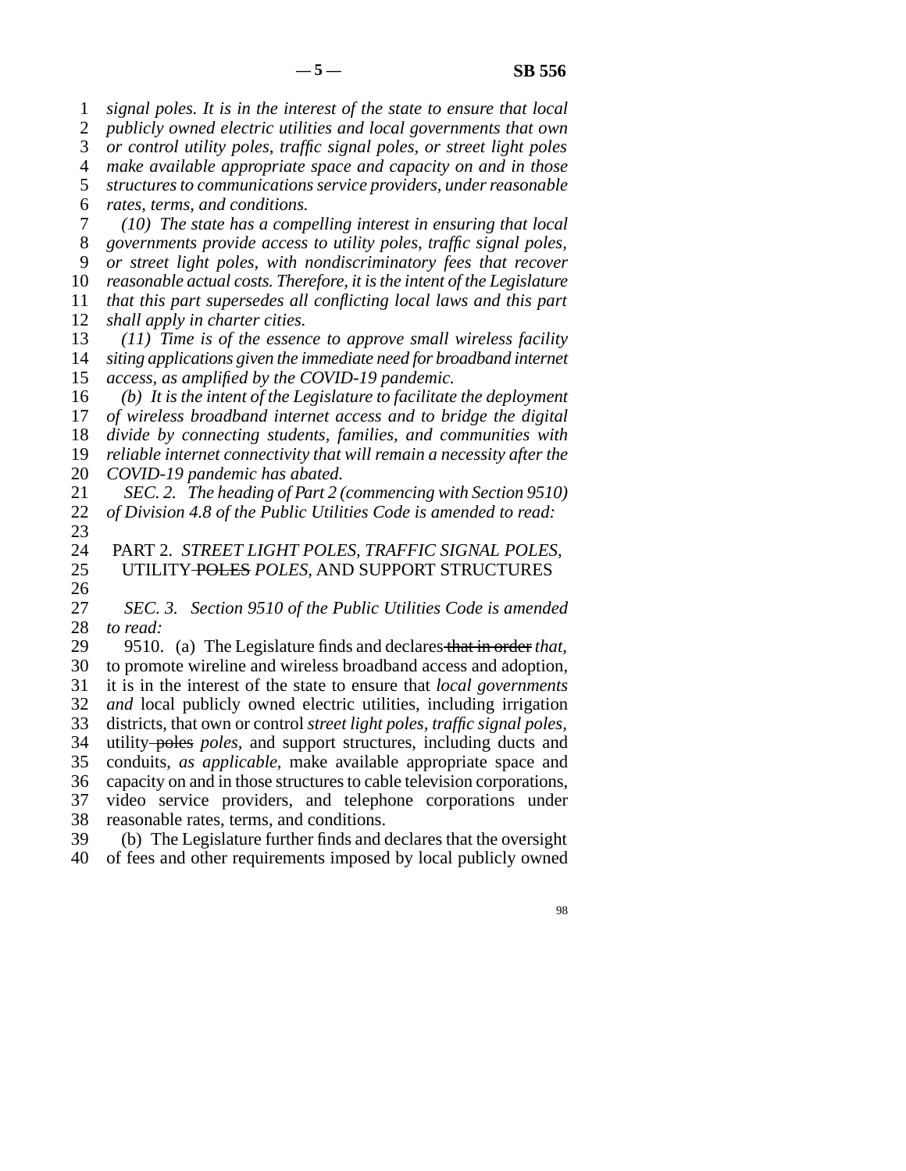1 *signal poles. It is in the interest of the state to ensure that local* 2 *publicly owned electric utilities and local governments that own* 3 *or control utility poles, traffic signal poles, or street light poles*  line 4 *make available appropriate space and capacity on and in those*  5 *structures to communications service providers, under reasonable*  line 6 *rates, terms, and conditions.*  line 7 *(10) The state has a compelling interest in ensuring that local*  line 8 *governments provide access to utility poles, traffic signal poles,*  line 9 *or street light poles, with nondiscriminatory fees that recover*  10 *reasonable actual costs. Therefore, it is the intent of the Legislature* 11 *that this part supersedes all conflicting local laws and this part* 12 *shall apply in charter cities.* 13 (11) Time is of the essence to approve small wireless facility 14 *siting applications given the immediate need for broadband internet* 15 *access, as amplified by the COVID-19 pandemic.* 16 (b) It is the intent of the Legislature to facilitate the deployment 17 *of wireless broadband internet access and to bridge the digital* 18 *divide by connecting students, families, and communities with* 19 *reliable internet connectivity that will remain a necessity after the* 20 *COVID-19 pandemic has abated.* 21 *SEC. 2. The heading of Part 2 (commencing with Section 9510)* 22 of Division 4.8 of the Public Utilities Code is amended to read: 23 line 24 PART 2. *STREET LIGHT POLES, TRAFFIC SIGNAL POLES,*  UTILITY POLES POLES, AND SUPPORT STRUCTURES  $\frac{26}{27}$ *SEC. 3. Section 9510 of the Public Utilities Code is amended* 28 *to read:* 29 9510. (a) The Legislature finds and declares that in order that, 30 to promote wireline and wireless broadband access and adoption, line 31 it is in the interest of the state to ensure that *local governments*  32 *and* local publicly owned electric utilities, including irrigation line 33 districts, that own or control *street light poles, traffic signal poles,* 34 utility-poles *poles*, and support structures, including ducts and line 35 conduits, *as applicable,* make available appropriate space and 36 capacity on and in those structures to cable television corporations, 37 video service providers, and telephone corporations under 38 reasonable rates, terms, and conditions. 39 (b) The Legislature further finds and declares that the oversight 40 of fees and other requirements imposed by local publicly owned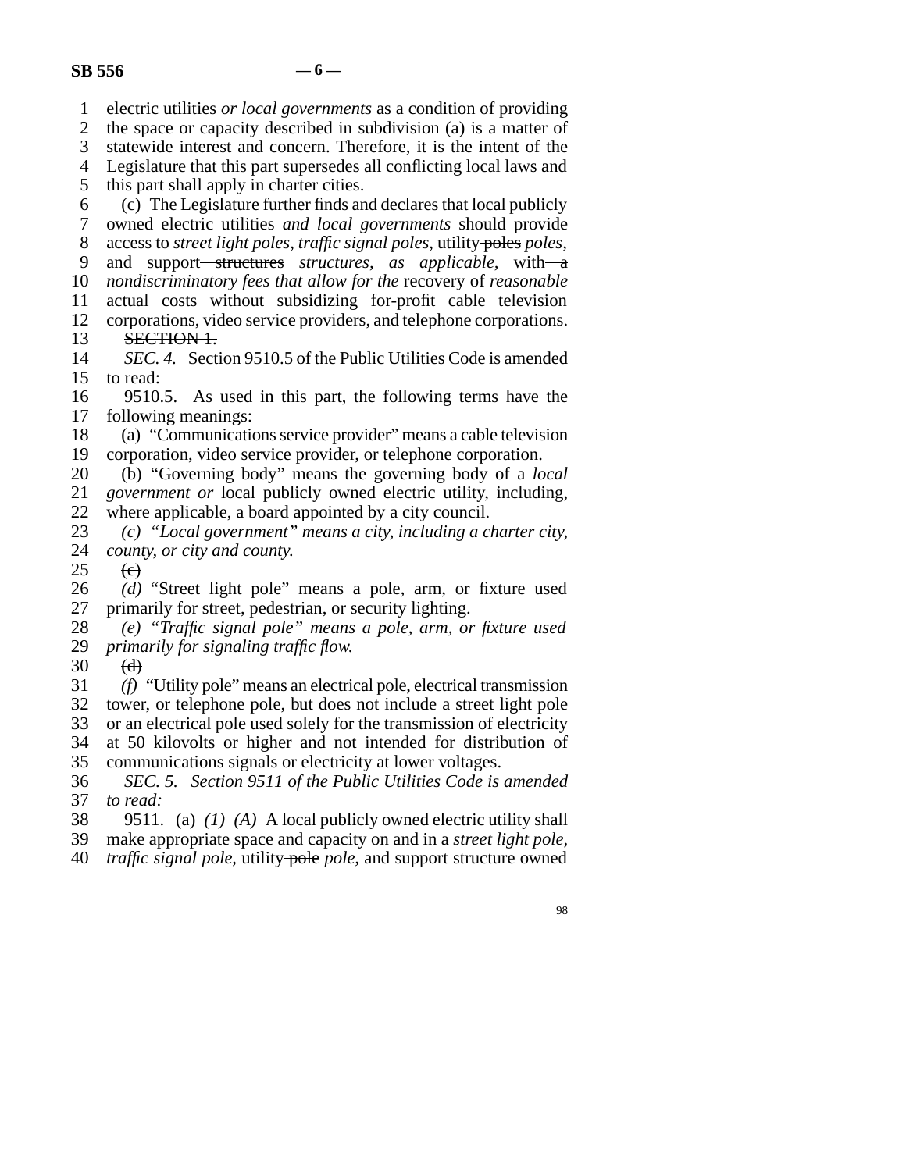line 1 electric utilities *or local governments* as a condition of providing 2 the space or capacity described in subdivision (a) is a matter of 3 statewide interest and concern. Therefore, it is the intent of the statewide interest and concern. Therefore, it is the intent of the 4 Legislature that this part supersedes all conflicting local laws and 5 this part shall apply in charter cities.  $\delta$  (c) The Legislature further finds and declares that local publicly line 7 owned electric utilities *and local governments* should provide line 8 access to *street light poles, traffic signal poles,* utility poles *poles,* 9 and support<del> structures</del> *structures*, as applicable, with a 10 *nondiscriminatory fees that allow for the* recovery of *reasonable* 11 actual costs without subsidizing for-profit cable television 12 corporations, video service providers, and telephone corporations. 13 **SECTION 1.**<br>14 *SEC. 4.* Section *SEC. 4.* Section 9510.5 of the Public Utilities Code is amended 15 to read: 16 9510.5. As used in this part, the following terms have the 17 following meanings: 18 (a) "Communications service provider" means a cable television 19 corporation, video service provider, or telephone corporation. line 20 (b) "Governing body" means the governing body of a *local*  21 *government or* local publicly owned electric utility, including, 22 where applicable, a board appointed by a city council.<br>23  $(c)$  "Local government" means a city, including a city (c) "Local government" means a city, including a charter city, 24 *county, or city and county.*  $25$  (e) 26 *(d)* "Street light pole" means a pole, arm, or fixture used primarily for street, pedestrian, or security lighting. primarily for street, pedestrian, or security lighting. line 28 *(e) "Traffic signal pole" means a pole, arm, or fixture used*  29 *primarily for signaling traffic flow.* 30  $(d)$  line 31 *(f)* "Utility pole" means an electrical pole, electrical transmission 32 tower, or telephone pole, but does not include a street light pole 33 or an electrical pole used solely for the transmission of electricity 34 at 50 kilovolts or higher and not intended for distribution of 35 communications signals or electricity at lower voltages. line 36 *SEC. 5. Section 9511 of the Public Utilities Code is amended*  37 *to read:*  line 38 9511. (a) *(1) (A)* A local publicly owned electric utility shall line 39 make appropriate space and capacity on and in a *street light pole,*  line 40 *traffic signal pole,* utility pole *pole,* and support structure owned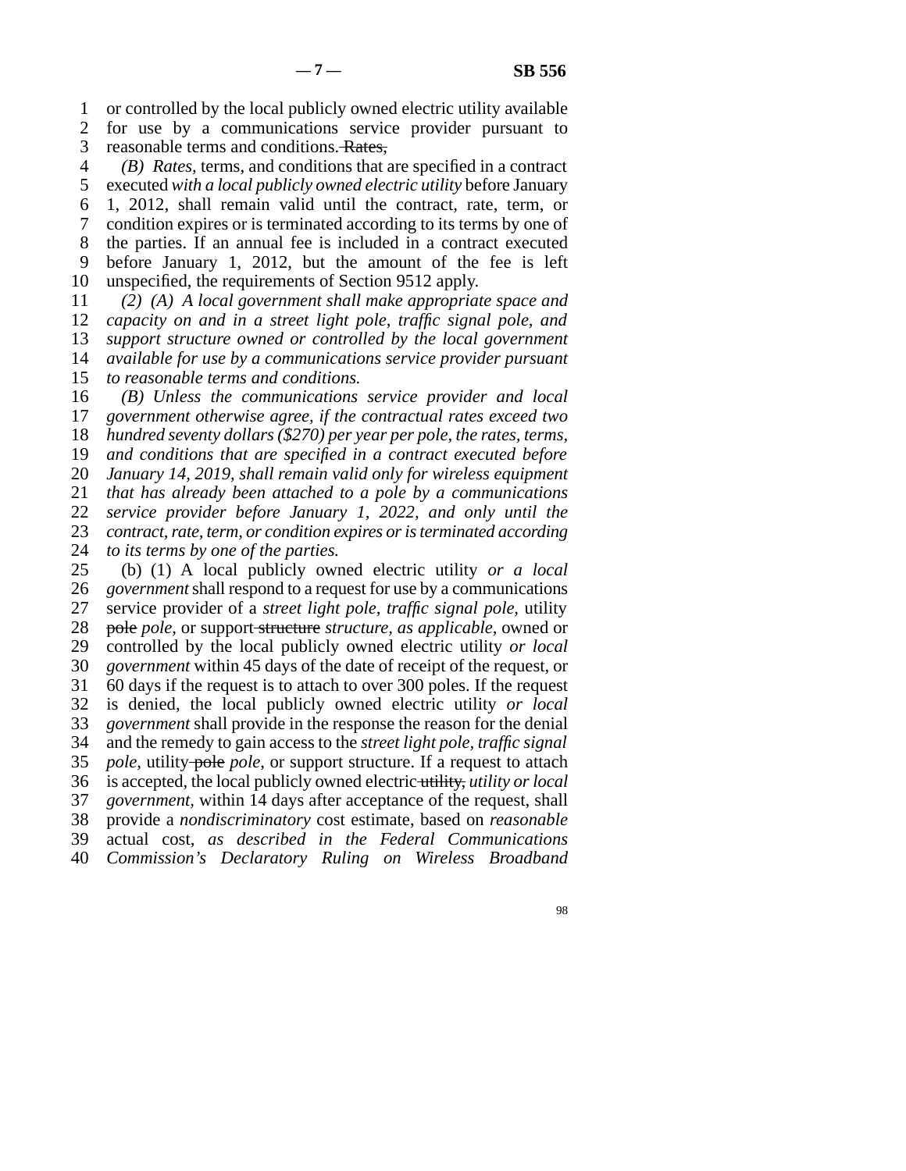line 1 or controlled by the local publicly owned electric utility available

2 for use by a communications service provider pursuant to 3 reasonable terms and conditions. Rates,

 line 4 *(B) Rates,* terms, and conditions that are specified in a contract 5 executed with a local publicly owned electric utility before January

line 6 1, 2012, shall remain valid until the contract, rate, term, or

7 condition expires or is terminated according to its terms by one of

8 the parties. If an annual fee is included in a contract executed 9 before January 1, 2012, but the amount of the fee is left

10 unspecified, the requirements of Section 9512 apply.

 line 11 *(2) (A) A local government shall make appropriate space and capacity on and in a street light pole, traffic signal pole, and support structure owned or controlled by the local government available for use by a communications service provider pursuant to reasonable terms and conditions.* 

16 (B) Unless the communications service provider and local 17 government otherwise agree, if the contractual rates exceed two *hundred seventy dollars (\$270) per year per pole, the rates, terms,* 19 and conditions that are specified in a contract executed before *January 14, 2019, shall remain valid only for wireless equipment that has already been attached to a pole by a communications service provider before January 1, 2022, and only until the contract, rate, term, or condition expires or is terminated according to its terms by one of the parties.*<br>25 (b) (1) A local publicly own

(b) (1) A local publicly owned electric utility *or a local* 26 *government* shall respond to a request for use by a communications 27 service provider of a *street light pole, traffic signal pole*, utility line 28 pole *pole,* or support structure *structure, as applicable,* owned or 29 controlled by the local publicly owned electric utility *or local*  line 30 *government* within 45 days of the date of receipt of the request, or 31 60 days if the request is to attach to over 300 poles. If the request line 32 is denied, the local publicly owned electric utility *or local*  33 *government* shall provide in the response the reason for the denial line 34 and the remedy to gain access to the *street light pole, traffic signal*  35 *pole*, utility pole *pole*, or support structure. If a request to attach line 36 is accepted, the local publicly owned electric utility, *utility or local*  37 *government*, within 14 days after acceptance of the request, shall line 38 provide a *nondiscriminatory* cost estimate, based on *reasonable* line 39 actual cost, *as described in the Federal Communications*  line 40 *Commission's Declaratory Ruling on Wireless Broadband*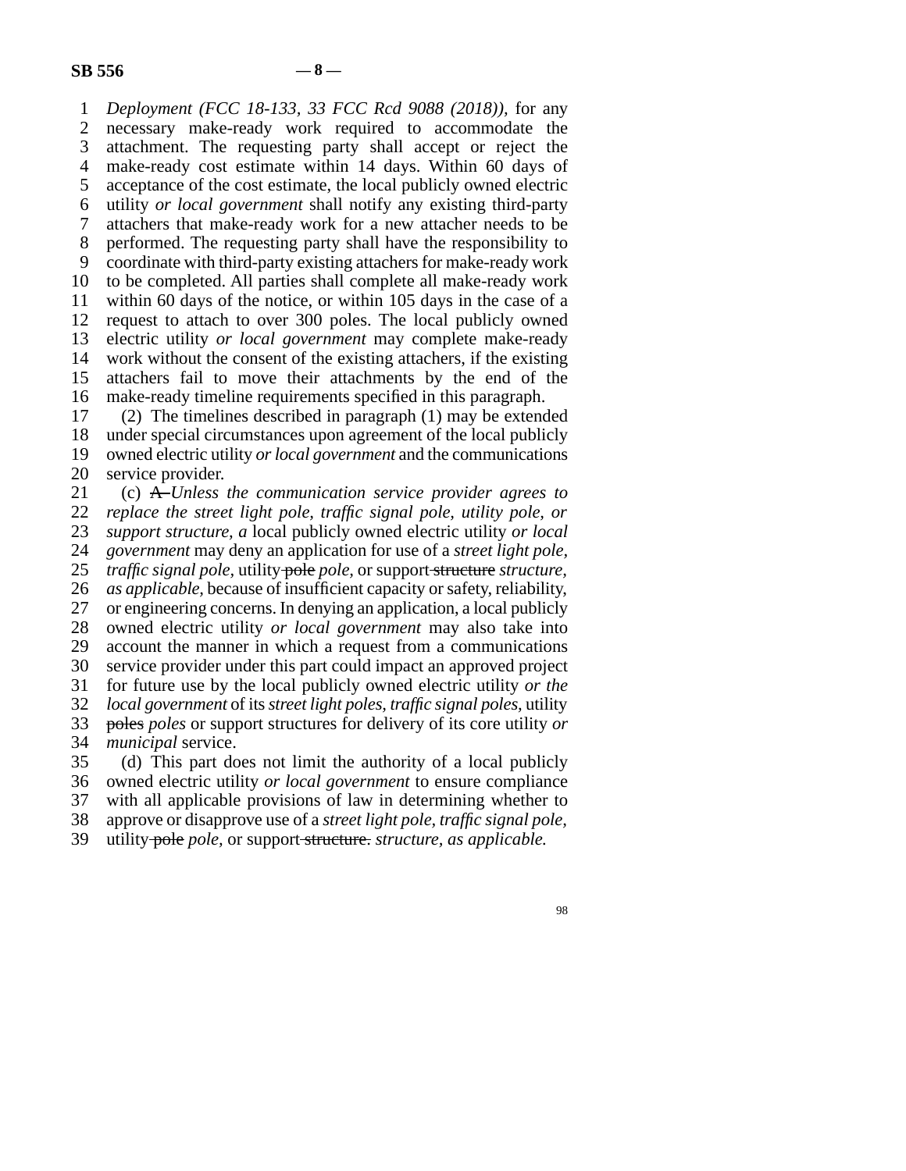line 1 *Deployment (FCC 18-133, 33 FCC Rcd 9088 (2018)),* for any 2 necessary make-ready work required to accommodate the<br>3 attachment. The requesting party shall accept or reject the attachment. The requesting party shall accept or reject the 4 make-ready cost estimate within 14 days. Within 60 days of 5 acceptance of the cost estimate, the local publicly owned electric line 6 utility *or local government* shall notify any existing third-party 7 attachers that make-ready work for a new attacher needs to be 8 performed. The requesting party shall have the responsibility to 9 coordinate with third-party existing attachers for make-ready work 10 to be completed. All parties shall complete all make-ready work 11 within 60 days of the notice, or within 105 days in the case of a 12 request to attach to over 300 poles. The local publicly owned 13 electric utility *or local government* may complete make-ready 14 work without the consent of the existing attachers, if the existing 15 attachers fail to move their attachments by the end of the 16 make-ready timeline requirements specified in this paragraph.

17 (2) The timelines described in paragraph  $(1)$  may be extended 18 under special circumstances upon agreement of the local publicly 19 owned electric utility *or local government* and the communications 20 service provider.

 line 21 (c) A *Unless the communication service provider agrees to*  22 *replace the street light pole, traffic signal pole, utility pole, or*  line 23 *support structure, a* local publicly owned electric utility *or local*  24 *government* may deny an application for use of a *street light pole*, <br>25 *traffic signal pole*, utility pole *pole*, or support-structure *structure*, *traffic signal pole,* utility pole *pole*, or support structure structure, 26 *as applicable*, because of insufficient capacity or safety, reliability, 27 or engineering concerns. In denying an application, a local publicly line 28 owned electric utility *or local government* may also take into 29 account the manner in which a request from a communications 30 service provider under this part could impact an approved project line 31 for future use by the local publicly owned electric utility *or the*  line 32 *local government* of its *street light poles, traffic signal poles,* utility line 33 poles *poles* or support structures for delivery of its core utility *or*  34 *municipal* service.

35 (d) This part does not limit the authority of a local publicly line 36 owned electric utility *or local government* to ensure compliance 37 with all applicable provisions of law in determining whether to line 38 approve or disapprove use of a *street light pole, traffic signal pole,* line 39 utility pole *pole,* or support structure. *structure, as applicable.*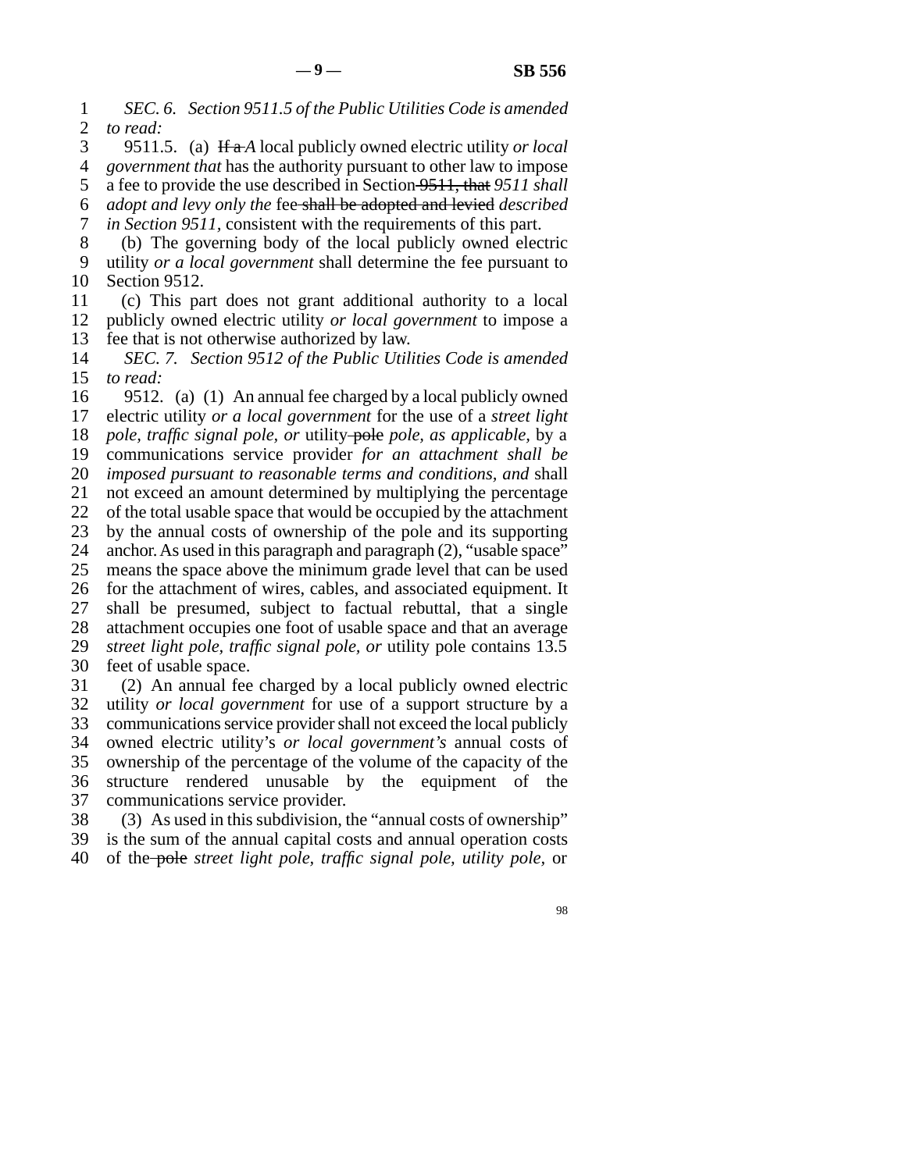line 1 *SEC. 6. Section 9511.5 of the Public Utilities Code is amended*  2 *to read:*<br>3 9511.

9511.5. (a) If a *A* local publicly owned electric utility *or local*  line 4 *government that* has the authority pursuant to other law to impose 5 a fee to provide the use described in Section 9511, that 9511 shall line 6 *adopt and levy only the* fee shall be adopted and levied *described*  7 *in Section 9511*, consistent with the requirements of this part.

8 (b) The governing body of the local publicly owned electric line 9 utility *or a local government* shall determine the fee pursuant to 10 Section 9512.

 line 11 (c) This part does not grant additional authority to a local 12 publicly owned electric utility *or local government* to impose a 13 fee that is not otherwise authorized by law.

14 *SEC. 7. Section 9512 of the Public Utilities Code is amended* 15 *to read:* 

16 9512. (a) (1) An annual fee charged by a local publicly owned 17 electric utility *or a local government* for the use of a *street light* 18 *pole, traffic signal pole, or* utility pole *pole, as applicable*, by a 19 communications service provider *for an attachment shall be* 20 *imposed pursuant to reasonable terms and conditions, and shall* 21 not exceed an amount determined by multiplying the percentage 22 of the total usable space that would be occupied by the attachment 23 by the annual costs of ownership of the pole and its supporting 24 anchor. As used in this paragraph and paragraph (2), "usable space"<br>25 means the space above the minimum grade level that can be used means the space above the minimum grade level that can be used 26 for the attachment of wires, cables, and associated equipment. It 27 shall be presumed, subject to factual rebuttal, that a single 28 attachment occupies one foot of usable space and that an average 29 *street light pole, traffic signal pole, or utility pole contains 13.5* 30 feet of usable space. 31 (2) An annual fee charged by a local publicly owned electric

32 utility *or local government* for use of a support structure by a 33 communications service provider shall not exceed the local publicly line 34 owned electric utility's *or local government's* annual costs of 35 ownership of the percentage of the volume of the capacity of the 36 structure rendered unusable by the equipment of the 37 communications service provider.

 $\delta$  38 (3) As used in this subdivision, the "annual costs of ownership" 39 is the sum of the annual capital costs and annual operation costs line 40 of the pole *street light pole, traffic signal pole, utility pole,* or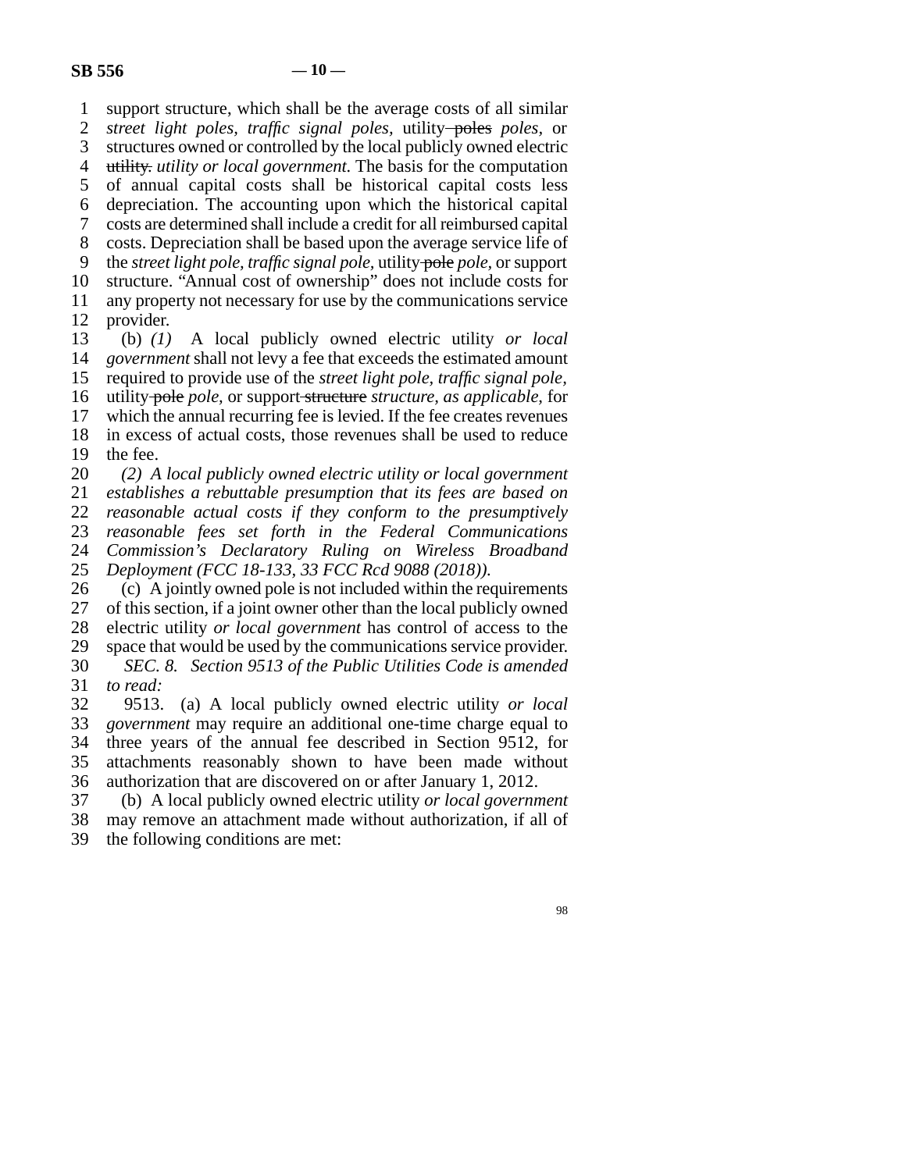1 support structure, which shall be the average costs of all similar 2 *street light poles, traffic signal poles,* utility poles poles, or 3 structures owned or controlled by the local publicly owned electric 4 utility. *utility or local government*. The basis for the computation 5 of annual capital costs shall be historical capital costs less 6 depreciation. The accounting upon which the historical capital line 7 costs are determined shall include a credit for all reimbursed capital 8 costs. Depreciation shall be based upon the average service life of line 9 the *street light pole, traffic signal pole,* utility pole *pole,* or support 10 structure. "Annual cost of ownership" does not include costs for 11 any property not necessary for use by the communications service 12 provider.

 line 13 (b) *(1)* A local publicly owned electric utility *or local*  14 *government* shall not levy a fee that exceeds the estimated amount 15 required to provide use of the *street light pole, traffic signal pole*, 16 utility pole *pole*, or support structure *structure*, as applicable, for 17 which the annual recurring fee is levied. If the fee creates revenues 18 in excess of actual costs, those revenues shall be used to reduce

19 the fee.

 line 20 *(2) A local publicly owned electric utility or local government establishes a rebuttable presumption that its fees are based on reasonable actual costs if they conform to the presumptively reasonable fees set forth in the Federal Communications Commission's Declaratory Ruling on Wireless Broadband* <br>25 *Deployment (FCC 18-133, 33 FCC Rcd 9088 (2018))*. Deployment (FCC 18-133, 33 FCC Rcd 9088 (2018)).

26 (c) A jointly owned pole is not included within the requirements 27 of this section, if a joint owner other than the local publicly owned of this section, if a joint owner other than the local publicly owned 28 electric utility *or local government* has control of access to the 29 space that would be used by the communications service provider. line 30 *SEC. 8. Section 9513 of the Public Utilities Code is amended*  31 *to read:* 

 line 32 9513. (a) A local publicly owned electric utility *or local*  line 33 *government* may require an additional one-time charge equal to 34 three years of the annual fee described in Section 9512, for 35 attachments reasonably shown to have been made without 36 authorization that are discovered on or after January 1, 2012.

 line 37 (b) A local publicly owned electric utility *or local government* 38 may remove an attachment made without authorization, if all of 39 the following conditions are met: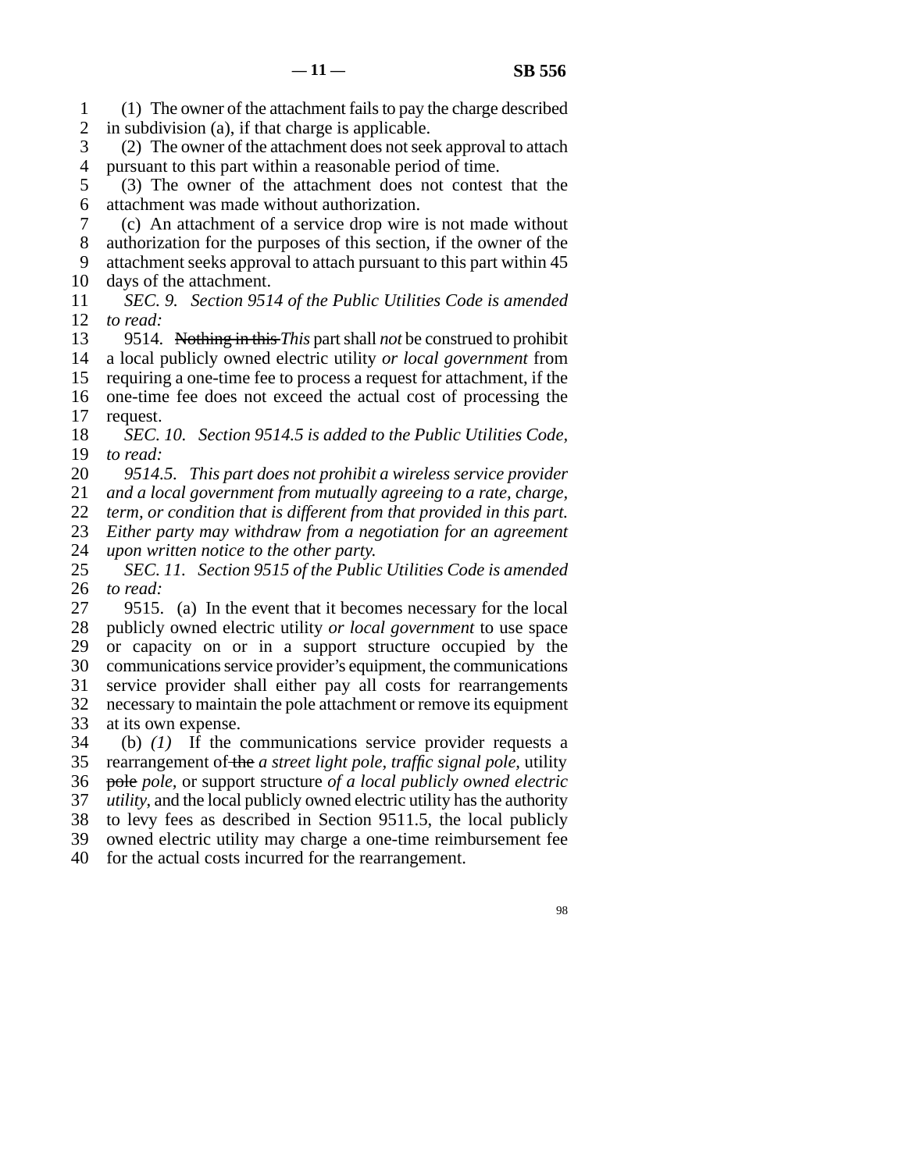line 1 (1) The owner of the attachment fails to pay the charge described 2 in subdivision (a), if that charge is applicable.

3 (2) The owner of the attachment does not seek approval to attach 4 pursuant to this part within a reasonable period of time.

5 (3) The owner of the attachment does not contest that the 6 attachment was made without authorization.

line 7 (c) An attachment of a service drop wire is not made without

8 authorization for the purposes of this section, if the owner of the

9 attachment seeks approval to attach pursuant to this part within 45 10 days of the attachment.

 line 11 *SEC. 9. Section 9514 of the Public Utilities Code is amended*  12 *to read:* 

13 9514. Nothing in this *This* part shall *not* be construed to prohibit 14 a local publicly owned electric utility *or local government* from 15 requiring a one-time fee to process a request for attachment, if the 16 one-time fee does not exceed the actual cost of processing the 17 request.

18 *SEC. 10. Section 9514.5 is added to the Public Utilities Code,* 19 *to read:* 

20 9514.5. This part does not prohibit a wireless service provider

21 *and a local government from mutually agreeing to a rate, charge,* 

22 *term, or condition that is different from that provided in this part.* 

23 *Either party may withdraw from a negotiation for an agreement* 

24 *upon written notice to the other party.*<br>25 *SEC. 11. Section 9515 of the Public SEC. 11. Section 9515 of the Public Utilities Code is amended* 26 *to read:* 

27 9515. (a) In the event that it becomes necessary for the local 28 publicly owned electric utility *or local government* to use space 29 or capacity on or in a support structure occupied by the 30 communications service provider's equipment, the communications 31 service provider shall either pay all costs for rearrangements 32 necessary to maintain the pole attachment or remove its equipment 33 at its own expense.

 line 34 (b) *(1)* If the communications service provider requests a 35 rearrangement of the *a street light pole, traffic signal pole*, utility line 36 pole *pole,* or support structure *of a local publicly owned electric*  37 *utility*, and the local publicly owned electric utility has the authority 38 to levy fees as described in Section 9511.5, the local publicly 39 owned electric utility may charge a one-time reimbursement fee 40 for the actual costs incurred for the rearrangement.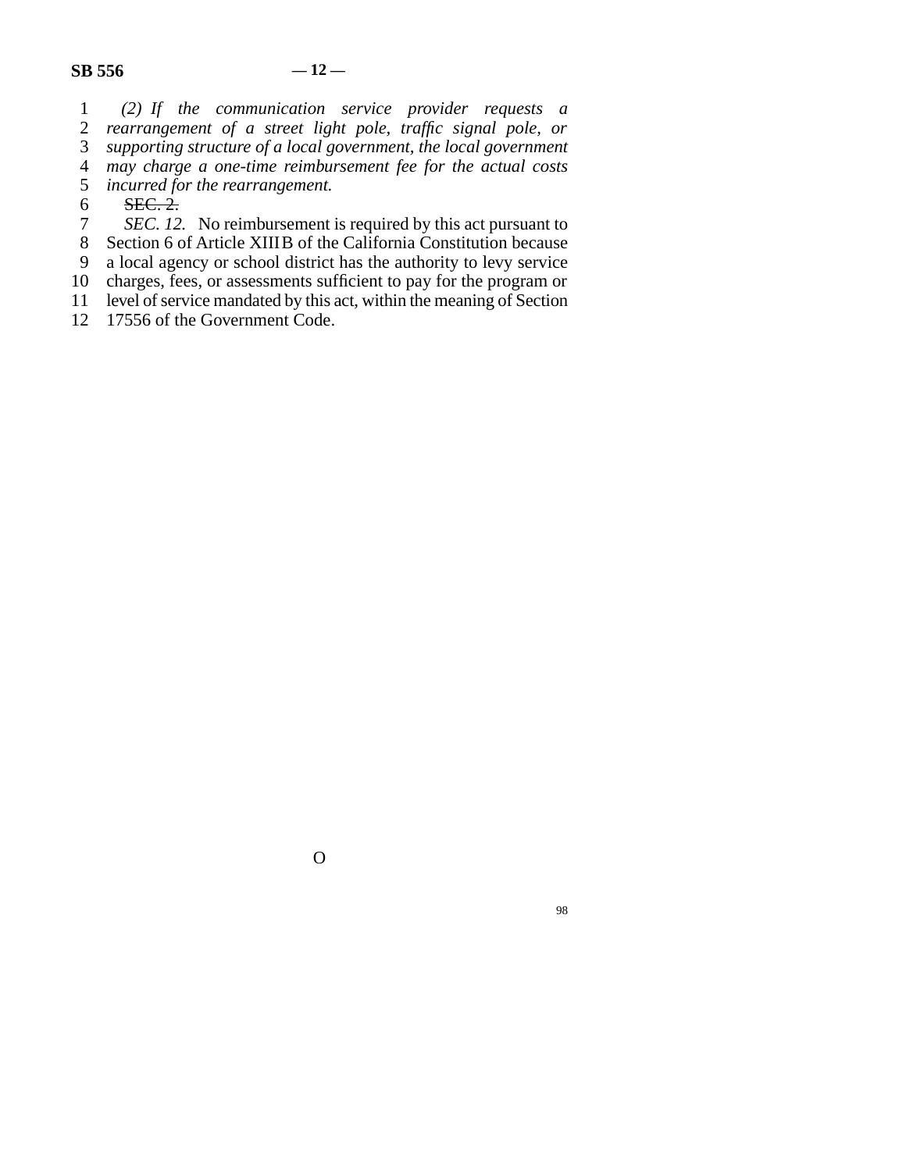line 1 *(2) If the communication service provider requests a*  2 *rearrangement of a street light pole, traffic signal pole, or* 3 *supporting structure of a local government* supporting structure of a local government, the local government line 4 *may charge a one-time reimbursement fee for the actual costs*  5 *incurred for the rearrangement.* 

 $6$  SEC. 2.

1 *SEC. 12.* No reimbursement is required by this act pursuant to

8 Section 6 of Article XIIIB of the California Constitution because

9 a local agency or school district has the authority to levy service<br>10 charges, fees, or assessments sufficient to pay for the program or

charges, fees, or assessments sufficient to pay for the program or

11 level of service mandated by this act, within the meaning of Section<br>12 17556 of the Government Code.

17556 of the Government Code.

O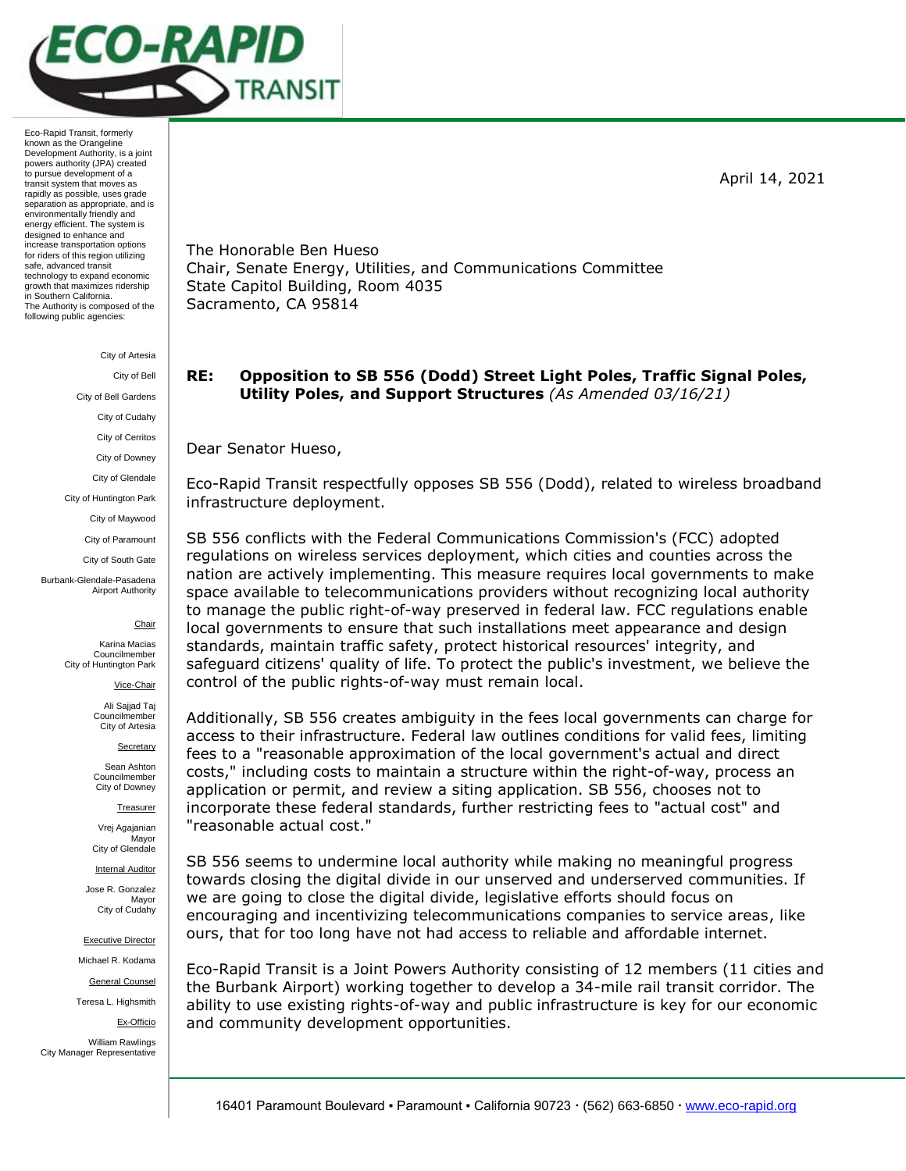

City of Artesia

City of Bell City of Bell Gardens City of Cudahy City of Cerritos City of Downey City of Glendale City of Huntington Park City of Maywood City of Paramount

Burbank-Glendale-Pasadena Airport Authority

City of South Gate

Chair Karina Macias

Councilmember City of Huntington Park

Vice-Chair

Ali Sajjad Taj **Councilmember** City of Artesia

Secretary

Sean Ashton Councilmember City of Downey

Treasurer

Vrej Agajanian Mayor City of Glendale

Internal Auditor

Jose R. Gonzalez Mayor City of Cudahy

Executive Director

Michael R. Kodama

General Counsel

Teresa L. Highsmith

Ex-Officio

William Rawlings City Manager Representative The Honorable Ben Hueso Chair, Senate Energy, Utilities, and Communications Committee State Capitol Building, Room 4035 Sacramento, CA 95814

# **RE: Opposition to SB 556 (Dodd) Street Light Poles, Traffic Signal Poles, Utility Poles, and Support Structures** *(As Amended 03/16/21)*

Dear Senator Hueso,

Eco-Rapid Transit respectfully opposes SB 556 (Dodd), related to wireless broadband infrastructure deployment.

SB 556 conflicts with the Federal Communications Commission's (FCC) adopted regulations on wireless services deployment, which cities and counties across the nation are actively implementing. This measure requires local governments to make space available to telecommunications providers without recognizing local authority to manage the public right-of-way preserved in federal law. FCC regulations enable local governments to ensure that such installations meet appearance and design standards, maintain traffic safety, protect historical resources' integrity, and safeguard citizens' quality of life. To protect the public's investment, we believe the control of the public rights-of-way must remain local.

Additionally, SB 556 creates ambiguity in the fees local governments can charge for access to their infrastructure. Federal law outlines conditions for valid fees, limiting fees to a "reasonable approximation of the local government's actual and direct costs," including costs to maintain a structure within the right-of-way, process an application or permit, and review a siting application. SB 556, chooses not to incorporate these federal standards, further restricting fees to "actual cost" and "reasonable actual cost."

SB 556 seems to undermine local authority while making no meaningful progress towards closing the digital divide in our unserved and underserved communities. If we are going to close the digital divide, legislative efforts should focus on encouraging and incentivizing telecommunications companies to service areas, like ours, that for too long have not had access to reliable and affordable internet.

Eco-Rapid Transit is a Joint Powers Authority consisting of 12 members (11 cities and the Burbank Airport) working together to develop a 34-mile rail transit corridor. The ability to use existing rights-of-way and public infrastructure is key for our economic and community development opportunities.

April 14, 2021